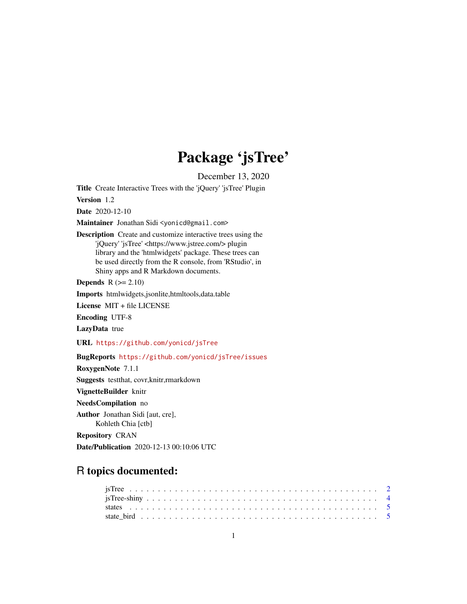## Package 'jsTree'

December 13, 2020

Title Create Interactive Trees with the 'jQuery' 'jsTree' Plugin

Version 1.2

Date 2020-12-10

Maintainer Jonathan Sidi <yonicd@gmail.com>

Description Create and customize interactive trees using the 'jQuery' 'jsTree' <https://www.jstree.com/> plugin library and the 'htmlwidgets' package. These trees can be used directly from the R console, from 'RStudio', in Shiny apps and R Markdown documents.

**Depends**  $R$  ( $>= 2.10$ )

Imports htmlwidgets,jsonlite,htmltools,data.table

License MIT + file LICENSE

Encoding UTF-8

LazyData true

URL <https://github.com/yonicd/jsTree>

BugReports <https://github.com/yonicd/jsTree/issues>

RoxygenNote 7.1.1

Suggests testthat, covr,knitr,rmarkdown

VignetteBuilder knitr

NeedsCompilation no

Author Jonathan Sidi [aut, cre], Kohleth Chia [ctb]

Repository CRAN

Date/Publication 2020-12-13 00:10:06 UTC

### R topics documented: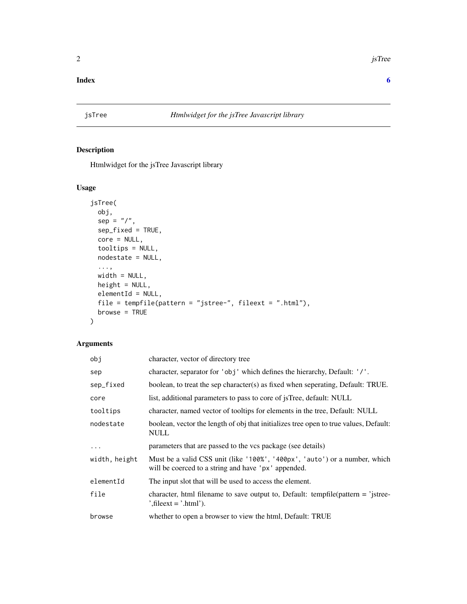#### <span id="page-1-0"></span>**Index** [6](#page-5-0) **6**

#### Description

Htmlwidget for the jsTree Javascript library

#### Usage

```
jsTree(
 obj,
 sep = "1",sep_fixed = TRUE,
 core = NULL,
  tooltips = NULL,
 nodestate = NULL,
  ...,
 width = NULL,height = NULL,elementId = NULL,file = tempfile(pattern = "jstree-", fileext = ".html"),
 browse = TRUE
)
```
#### Arguments

| obj           | character, vector of directory tree                                                                                               |
|---------------|-----------------------------------------------------------------------------------------------------------------------------------|
| sep           | character, separator for 'obj' which defines the hierarchy, Default: '/'.                                                         |
| sep_fixed     | boolean, to treat the sep character(s) as fixed when seperating, Default: TRUE.                                                   |
| core          | list, additional parameters to pass to core of <i>jsTree</i> , default: NULL                                                      |
| tooltips      | character, named vector of tooltips for elements in the tree, Default: NULL                                                       |
| nodestate     | boolean, vector the length of obj that initializes tree open to true values, Default:<br><b>NULL</b>                              |
| $\cdots$      | parameters that are passed to the vcs package (see details)                                                                       |
| width, height | Must be a valid CSS unit (like '100%', '400px', 'auto') or a number, which<br>will be coerced to a string and have 'px' appended. |
| elementId     | The input slot that will be used to access the element.                                                                           |
| file          | character, html filename to save output to, Default: tempfile(pattern $=$ 'jstree-<br>', file ext = '.html').                     |
| browse        | whether to open a browser to view the html, Default: TRUE                                                                         |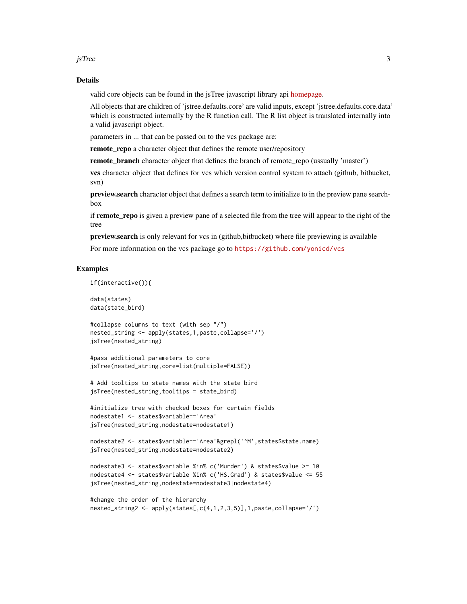jsTree 3

#### Details

valid core objects can be found in the jsTree javascript library api [homepage.](https://www.jstree.com/api/)

All objects that are children of 'jstree.defaults.core' are valid inputs, except 'jstree.defaults.core.data' which is constructed internally by the R function call. The R list object is translated internally into a valid javascript object.

parameters in ... that can be passed on to the vcs package are:

remote\_repo a character object that defines the remote user/repository

**remote\_branch** character object that defines the branch of remote\_repo (ussually 'master')

vcs character object that defines for vcs which version control system to attach (github, bitbucket, svn)

preview.search character object that defines a search term to initialize to in the preview pane searchbox

if remote repo is given a preview pane of a selected file from the tree will appear to the right of the tree

preview.search is only relevant for vcs in (github,bitbucket) where file previewing is available For more information on the vcs package go to <https://github.com/yonicd/vcs>

#### Examples

if(interactive()){

data(states) data(state\_bird)

```
#collapse columns to text (with sep "/")
nested_string <- apply(states,1,paste,collapse='/')
jsTree(nested_string)
```

```
#pass additional parameters to core
jsTree(nested_string,core=list(multiple=FALSE))
```

```
# Add tooltips to state names with the state bird
jsTree(nested_string,tooltips = state_bird)
```

```
#initialize tree with checked boxes for certain fields
nodestate1 <- states$variable=='Area'
jsTree(nested_string,nodestate=nodestate1)
```

```
nodestate2 <- states$variable=='Area'&grepl('^M',states$state.name)
jsTree(nested_string,nodestate=nodestate2)
```

```
nodestate3 <- states$variable %in% c('Murder') & states$value >= 10
nodestate4 <- states$variable %in% c('HS.Grad') & states$value <= 55
jsTree(nested_string,nodestate=nodestate3|nodestate4)
```

```
#change the order of the hierarchy
nested_string2 <- apply(states[,c(4,1,2,3,5)],1,paste,collapse='/')
```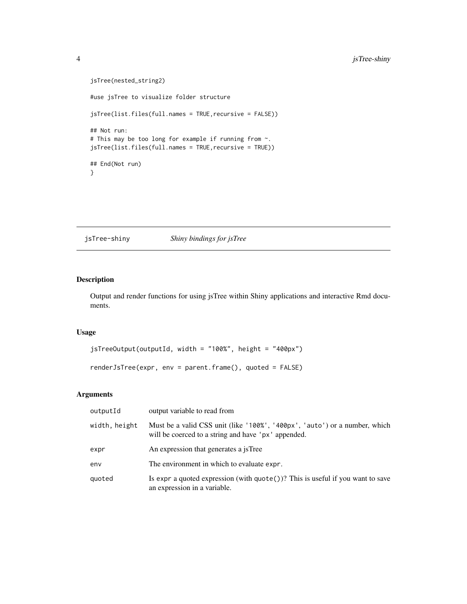```
jsTree(nested_string2)
#use jsTree to visualize folder structure
jsTree(list.files(full.names = TRUE,recursive = FALSE))
## Not run:
# This may be too long for example if running from ~.
jsTree(list.files(full.names = TRUE,recursive = TRUE))
## End(Not run)
}
```
jsTree-shiny *Shiny bindings for jsTree*

#### Description

Output and render functions for using jsTree within Shiny applications and interactive Rmd documents.

#### Usage

```
jsTreeOutput(outputId, width = "100%", height = "400px")
renderJsTree(expr, env = parent.frame(), quoted = FALSE)
```
#### Arguments

| outputId      | output variable to read from                                                                                                      |
|---------------|-----------------------------------------------------------------------------------------------------------------------------------|
| width, height | Must be a valid CSS unit (like '100%', '400px', 'auto') or a number, which<br>will be coerced to a string and have 'px' appended. |
| expr          | An expression that generates a jsTree                                                                                             |
| env           | The environment in which to evaluate expr.                                                                                        |
| quoted        | Is expr a quoted expression (with $\text{quote}()$ ? This is useful if you want to save<br>an expression in a variable.           |

<span id="page-3-0"></span>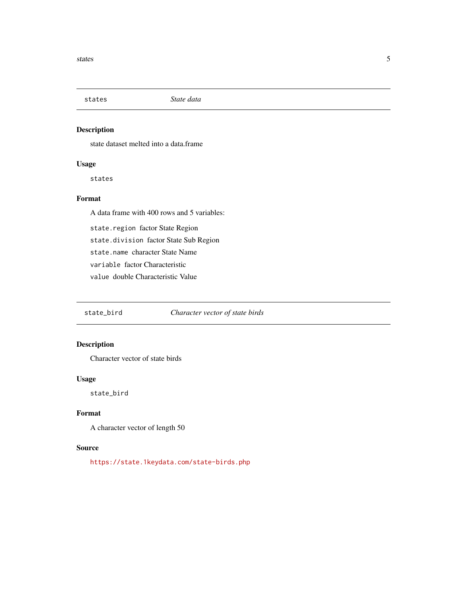<span id="page-4-0"></span>

#### Description

state dataset melted into a data.frame

#### Usage

states

#### Format

A data frame with 400 rows and 5 variables:

state.region factor State Region

state.division factor State Sub Region

state.name character State Name

variable factor Characteristic

value double Characteristic Value

state\_bird *Character vector of state birds*

#### Description

Character vector of state birds

#### Usage

state\_bird

#### Format

A character vector of length 50

#### Source

<https://state.1keydata.com/state-birds.php>